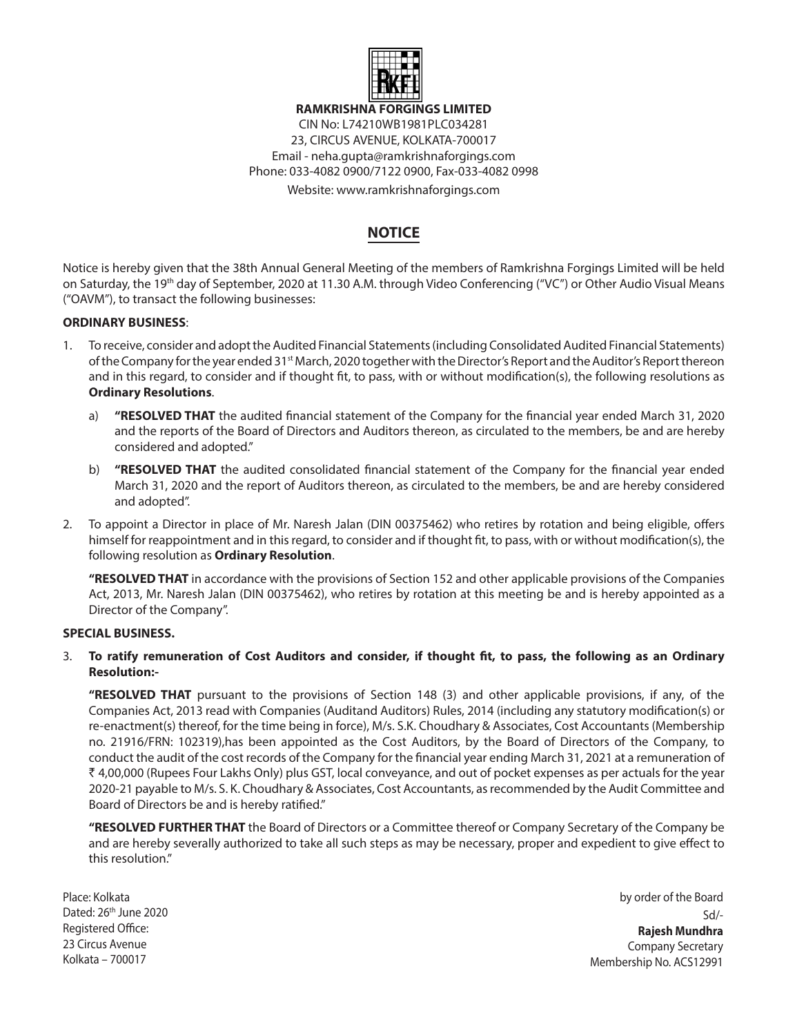

**RAMKRISHNA FORGINGS LIMITED**

CIN No: L74210WB1981PLC034281 23, CIRCUS AVENUE, KOLKATA-700017 Email - neha.gupta@ramkrishnaforgings.com Phone: 033-4082 0900/7122 0900, Fax-033-4082 0998

Website: www.ramkrishnaforgings.com

# **NOTICE**

Notice is hereby given that the 38th Annual General Meeting of the members of Ramkrishna Forgings Limited will be held on Saturday, the 19<sup>th</sup> day of September, 2020 at 11.30 A.M. through Video Conferencing ("VC") or Other Audio Visual Means ("OAVM"), to transact the following businesses:

## **ORDINARY BUSINESS**:

- 1. To receive, consider and adopt the Audited Financial Statements (including Consolidated Audited Financial Statements) of the Company for the year ended 31<sup>st</sup> March, 2020 together with the Director's Report and the Auditor's Report thereon and in this regard, to consider and if thought fit, to pass, with or without modification(s), the following resolutions as **Ordinary Resolutions**.
	- a) **"RESOLVED THAT** the audited financial statement of the Company for the financial year ended March 31, 2020 and the reports of the Board of Directors and Auditors thereon, as circulated to the members, be and are hereby considered and adopted."
	- b) **"RESOLVED THAT** the audited consolidated financial statement of the Company for the financial year ended March 31, 2020 and the report of Auditors thereon, as circulated to the members, be and are hereby considered and adopted".
- 2. To appoint a Director in place of Mr. Naresh Jalan (DIN 00375462) who retires by rotation and being eligible, offers himself for reappointment and in this regard, to consider and if thought fit, to pass, with or without modification(s), the following resolution as **Ordinary Resolution**.

**"RESOLVED THAT** in accordance with the provisions of Section 152 and other applicable provisions of the Companies Act, 2013, Mr. Naresh Jalan (DIN 00375462), who retires by rotation at this meeting be and is hereby appointed as a Director of the Company".

## **SPECIAL BUSINESS.**

## 3. **To ratify remuneration of Cost Auditors and consider, if thought fit, to pass, the following as an Ordinary Resolution:-**

**"RESOLVED THAT** pursuant to the provisions of Section 148 (3) and other applicable provisions, if any, of the Companies Act, 2013 read with Companies (Auditand Auditors) Rules, 2014 (including any statutory modification(s) or re-enactment(s) thereof, for the time being in force), M/s. S.K. Choudhary & Associates, Cost Accountants (Membership no. 21916/FRN: 102319),has been appointed as the Cost Auditors, by the Board of Directors of the Company, to conduct the audit of the cost records of the Company for the financial year ending March 31, 2021 at a remuneration of ` 4,00,000 (Rupees Four Lakhs Only) plus GST, local conveyance, and out of pocket expenses as per actuals for the year 2020-21 payable to M/s. S. K. Choudhary & Associates, Cost Accountants, as recommended by the Audit Committee and Board of Directors be and is hereby ratified."

**"RESOLVED FURTHER THAT** the Board of Directors or a Committee thereof or Company Secretary of the Company be and are hereby severally authorized to take all such steps as may be necessary, proper and expedient to give effect to this resolution."

Place: Kolkata Dated: 26th June 2020 Registered Office: 23 Circus Avenue Kolkata – 700017

by order of the Board Sd/- **Rajesh Mundhra** Company Secretary Membership No. ACS12991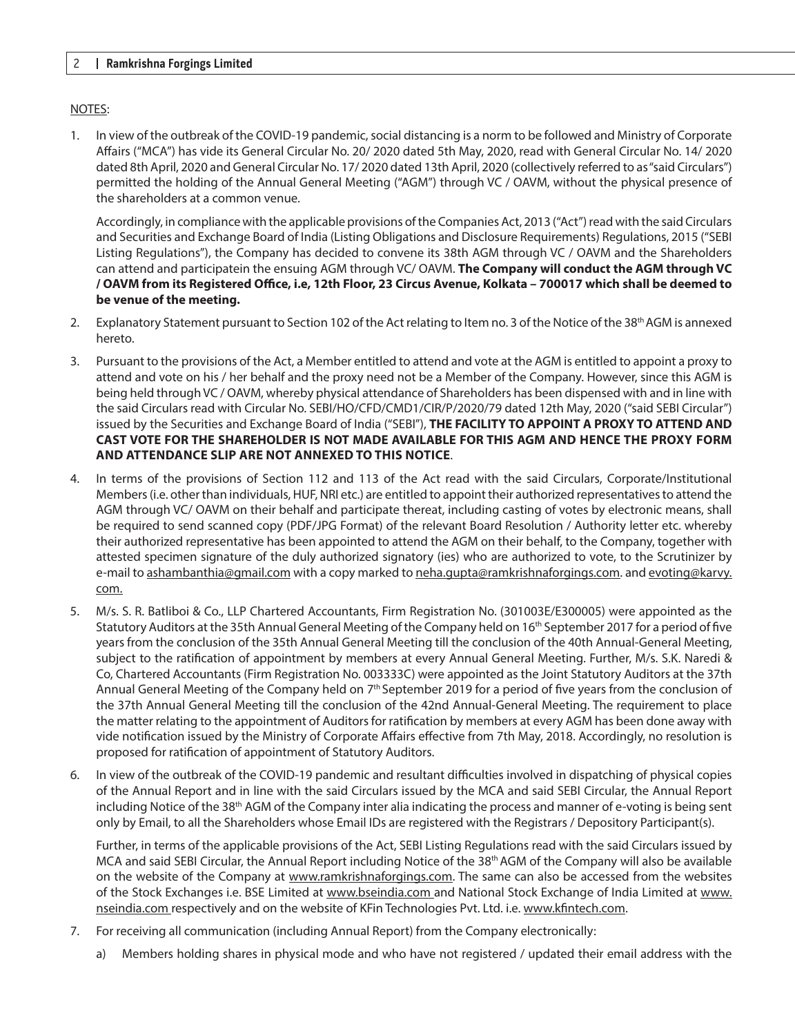## NOTES:

1. In view of the outbreak of the COVID-19 pandemic, social distancing is a norm to be followed and Ministry of Corporate Affairs ("MCA") has vide its General Circular No. 20/ 2020 dated 5th May, 2020, read with General Circular No. 14/ 2020 dated 8th April, 2020 and General Circular No. 17/ 2020 dated 13th April, 2020 (collectively referred to as "said Circulars") permitted the holding of the Annual General Meeting ("AGM") through VC / OAVM, without the physical presence of the shareholders at a common venue.

Accordingly, in compliance with the applicable provisions of the Companies Act, 2013 ("Act") read with the said Circulars and Securities and Exchange Board of India (Listing Obligations and Disclosure Requirements) Regulations, 2015 ("SEBI Listing Regulations"), the Company has decided to convene its 38th AGM through VC / OAVM and the Shareholders can attend and participatein the ensuing AGM through VC/ OAVM. **The Company will conduct the AGM through VC / OAVM from its Registered Office, i.e, 12th Floor, 23 Circus Avenue, Kolkata – 700017 which shall be deemed to be venue of the meeting.**

- 2. Explanatory Statement pursuant to Section 102 of the Act relating to Item no. 3 of the Notice of the 38<sup>th</sup> AGM is annexed hereto.
- 3. Pursuant to the provisions of the Act, a Member entitled to attend and vote at the AGM is entitled to appoint a proxy to attend and vote on his / her behalf and the proxy need not be a Member of the Company. However, since this AGM is being held through VC / OAVM, whereby physical attendance of Shareholders has been dispensed with and in line with the said Circulars read with Circular No. SEBI/HO/CFD/CMD1/CIR/P/2020/79 dated 12th May, 2020 ("said SEBI Circular") issued by the Securities and Exchange Board of India ("SEBI"), **THE FACILITY TO APPOINT A PROXY TO ATTEND AND CAST VOTE FOR THE SHAREHOLDER IS NOT MADE AVAILABLE FOR THIS AGM and hence the Proxy Form and Attendance Slip are not annexed to this Notice**.
- 4. In terms of the provisions of Section 112 and 113 of the Act read with the said Circulars, Corporate/Institutional Members (i.e. other than individuals, HUF, NRI etc.) are entitled to appoint their authorized representatives to attend the AGM through VC/ OAVM on their behalf and participate thereat, including casting of votes by electronic means, shall be required to send scanned copy (PDF/JPG Format) of the relevant Board Resolution / Authority letter etc. whereby their authorized representative has been appointed to attend the AGM on their behalf, to the Company, together with attested specimen signature of the duly authorized signatory (ies) who are authorized to vote, to the Scrutinizer by e-mail to ashambanthia@gmail.com with a copy marked to neha.gupta@ramkrishnaforgings.com. and evoting@karvy. com.
- 5. M/s. S. R. Batliboi & Co., LLP Chartered Accountants, Firm Registration No. (301003E/E300005) were appointed as the Statutory Auditors at the 35th Annual General Meeting of the Company held on 16th September 2017 for a period of five years from the conclusion of the 35th Annual General Meeting till the conclusion of the 40th Annual-General Meeting, subject to the ratification of appointment by members at every Annual General Meeting. Further, M/s. S.K. Naredi & Co, Chartered Accountants (Firm Registration No. 003333C) were appointed as the Joint Statutory Auditors at the 37th Annual General Meeting of the Company held on  $7<sup>th</sup>$  September 2019 for a period of five years from the conclusion of the 37th Annual General Meeting till the conclusion of the 42nd Annual-General Meeting. The requirement to place the matter relating to the appointment of Auditors for ratification by members at every AGM has been done away with vide notification issued by the Ministry of Corporate Affairs effective from 7th May, 2018. Accordingly, no resolution is proposed for ratification of appointment of Statutory Auditors.
- 6. In view of the outbreak of the COVID-19 pandemic and resultant difficulties involved in dispatching of physical copies of the Annual Report and in line with the said Circulars issued by the MCA and said SEBI Circular, the Annual Report including Notice of the 38<sup>th</sup> AGM of the Company inter alia indicating the process and manner of e-voting is being sent only by Email, to all the Shareholders whose Email IDs are registered with the Registrars / Depository Participant(s).

Further, in terms of the applicable provisions of the Act, SEBI Listing Regulations read with the said Circulars issued by MCA and said SEBI Circular, the Annual Report including Notice of the 38th AGM of the Company will also be available on the website of the Company at www.ramkrishnaforgings.com. The same can also be accessed from the websites of the Stock Exchanges i.e. BSE Limited at www.bseindia.com and National Stock Exchange of India Limited at www. nseindia.com respectively and on the website of KFin Technologies Pvt. Ltd. i.e. www.kfintech.com.

- 7. For receiving all communication (including Annual Report) from the Company electronically:
	- a) Members holding shares in physical mode and who have not registered / updated their email address with the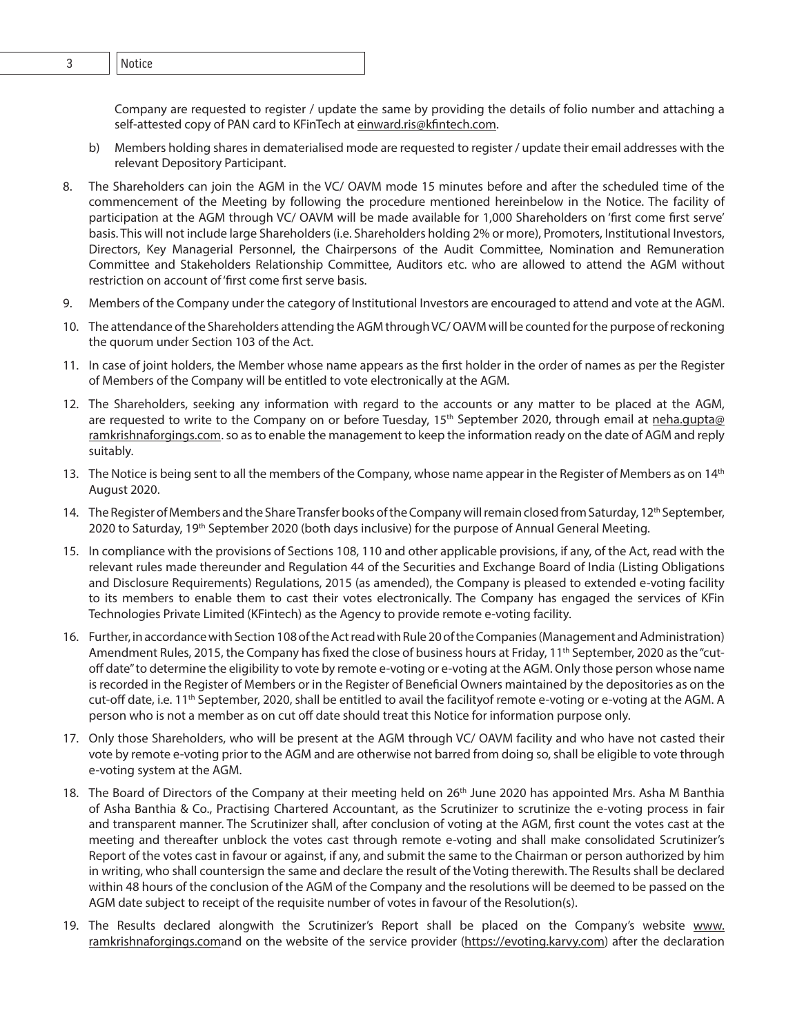Company are requested to register / update the same by providing the details of folio number and attaching a self-attested copy of PAN card to KFinTech at einward.ris@kfintech.com.

- b) Members holding shares in dematerialised mode are requested to register / update their email addresses with the relevant Depository Participant.
- 8. The Shareholders can join the AGM in the VC/ OAVM mode 15 minutes before and after the scheduled time of the commencement of the Meeting by following the procedure mentioned hereinbelow in the Notice. The facility of participation at the AGM through VC/ OAVM will be made available for 1,000 Shareholders on 'first come first serve' basis. This will not include large Shareholders (i.e. Shareholders holding 2% or more), Promoters, Institutional Investors, Directors, Key Managerial Personnel, the Chairpersons of the Audit Committee, Nomination and Remuneration Committee and Stakeholders Relationship Committee, Auditors etc. who are allowed to attend the AGM without restriction on account of 'first come first serve basis.
- 9. Members of the Company under the category of Institutional Investors are encouraged to attend and vote at the AGM.
- 10. The attendance of the Shareholders attending the AGM through VC/ OAVM will be counted for the purpose of reckoning the quorum under Section 103 of the Act.
- 11. In case of joint holders, the Member whose name appears as the first holder in the order of names as per the Register of Members of the Company will be entitled to vote electronically at the AGM.
- 12. The Shareholders, seeking any information with regard to the accounts or any matter to be placed at the AGM, are requested to write to the Company on or before Tuesday, 15<sup>th</sup> September 2020, through email at neha.gupta@ ramkrishnaforgings.com. so as to enable the management to keep the information ready on the date of AGM and reply suitably.
- 13. The Notice is being sent to all the members of the Company, whose name appear in the Register of Members as on 14<sup>th</sup> August 2020.
- 14. The Register of Members and the Share Transfer books of the Company will remain closed from Saturday, 12<sup>th</sup> September, 2020 to Saturday, 19<sup>th</sup> September 2020 (both days inclusive) for the purpose of Annual General Meeting.
- 15. In compliance with the provisions of Sections 108, 110 and other applicable provisions, if any, of the Act, read with the relevant rules made thereunder and Regulation 44 of the Securities and Exchange Board of India (Listing Obligations and Disclosure Requirements) Regulations, 2015 (as amended), the Company is pleased to extended e-voting facility to its members to enable them to cast their votes electronically. The Company has engaged the services of KFin Technologies Private Limited (KFintech) as the Agency to provide remote e-voting facility.
- 16. Further, in accordance with Section 108 of the Act read with Rule 20 of the Companies (Management and Administration) Amendment Rules, 2015, the Company has fixed the close of business hours at Friday, 11<sup>th</sup> September, 2020 as the "cutoff date" to determine the eligibility to vote by remote e-voting or e-voting at the AGM. Only those person whose name is recorded in the Register of Members or in the Register of Beneficial Owners maintained by the depositories as on the cut-off date, i.e. 11<sup>th</sup> September, 2020, shall be entitled to avail the facilityof remote e-voting or e-voting at the AGM. A person who is not a member as on cut off date should treat this Notice for information purpose only.
- 17. Only those Shareholders, who will be present at the AGM through VC/ OAVM facility and who have not casted their vote by remote e-voting prior to the AGM and are otherwise not barred from doing so, shall be eligible to vote through e-voting system at the AGM.
- 18. The Board of Directors of the Company at their meeting held on 26<sup>th</sup> June 2020 has appointed Mrs. Asha M Banthia of Asha Banthia & Co., Practising Chartered Accountant, as the Scrutinizer to scrutinize the e-voting process in fair and transparent manner. The Scrutinizer shall, after conclusion of voting at the AGM, first count the votes cast at the meeting and thereafter unblock the votes cast through remote e-voting and shall make consolidated Scrutinizer's Report of the votes cast in favour or against, if any, and submit the same to the Chairman or person authorized by him in writing, who shall countersign the same and declare the result of the Voting therewith. The Results shall be declared within 48 hours of the conclusion of the AGM of the Company and the resolutions will be deemed to be passed on the AGM date subject to receipt of the requisite number of votes in favour of the Resolution(s).
- 19. The Results declared alongwith the Scrutinizer's Report shall be placed on the Company's website www. ramkrishnaforgings.comand on the website of the service provider (https://evoting.karvy.com) after the declaration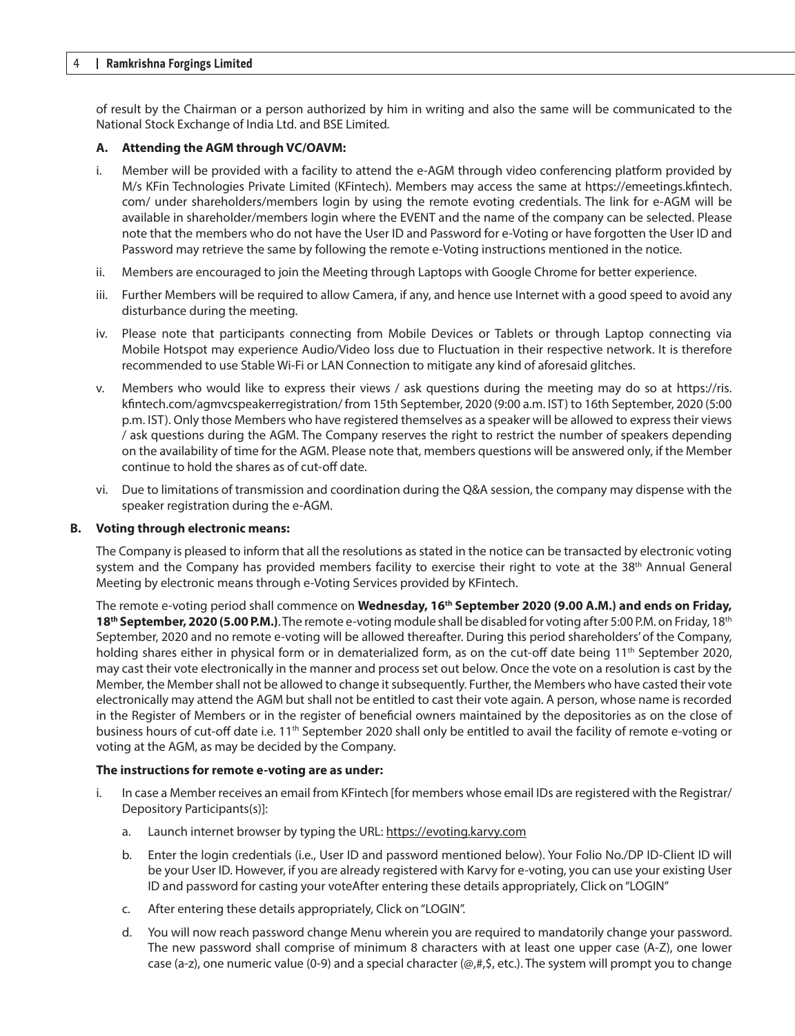#### 4 **Ramkrishna Forgings Limited**

of result by the Chairman or a person authorized by him in writing and also the same will be communicated to the National Stock Exchange of India Ltd. and BSE Limited.

#### **A. Attending the AGM through VC/OAVM:**

- i. Member will be provided with a facility to attend the e-AGM through video conferencing platform provided by M/s KFin Technologies Private Limited (KFintech). Members may access the same at https://emeetings.kfintech. com/ under shareholders/members login by using the remote evoting credentials. The link for e-AGM will be available in shareholder/members login where the EVENT and the name of the company can be selected. Please note that the members who do not have the User ID and Password for e-Voting or have forgotten the User ID and Password may retrieve the same by following the remote e-Voting instructions mentioned in the notice.
- ii. Members are encouraged to join the Meeting through Laptops with Google Chrome for better experience.
- iii. Further Members will be required to allow Camera, if any, and hence use Internet with a good speed to avoid any disturbance during the meeting.
- iv. Please note that participants connecting from Mobile Devices or Tablets or through Laptop connecting via Mobile Hotspot may experience Audio/Video loss due to Fluctuation in their respective network. It is therefore recommended to use Stable Wi-Fi or LAN Connection to mitigate any kind of aforesaid glitches.
- v. Members who would like to express their views / ask questions during the meeting may do so at https://ris. kfintech.com/agmvcspeakerregistration/ from 15th September, 2020 (9:00 a.m. IST) to 16th September, 2020 (5:00 p.m. IST). Only those Members who have registered themselves as a speaker will be allowed to express their views / ask questions during the AGM. The Company reserves the right to restrict the number of speakers depending on the availability of time for the AGM. Please note that, members questions will be answered only, if the Member continue to hold the shares as of cut-off date.
- vi. Due to limitations of transmission and coordination during the Q&A session, the company may dispense with the speaker registration during the e-AGM.

#### **B. Voting through electronic means:**

The Company is pleased to inform that all the resolutions as stated in the notice can be transacted by electronic voting system and the Company has provided members facility to exercise their right to vote at the 38<sup>th</sup> Annual General Meeting by electronic means through e-Voting Services provided by KFintech.

The remote e-voting period shall commence on **Wednesday, 16th September 2020 (9.00 A.M.) and ends on Friday, 18<sup>th</sup> September, 2020 (5.00 P.M.)**. The remote e-voting module shall be disabled for voting after 5:00 P.M. on Friday, 18<sup>th</sup> September, 2020 and no remote e-voting will be allowed thereafter. During this period shareholders' of the Company, holding shares either in physical form or in dematerialized form, as on the cut-off date being 11<sup>th</sup> September 2020, may cast their vote electronically in the manner and process set out below. Once the vote on a resolution is cast by the Member, the Member shall not be allowed to change it subsequently. Further, the Members who have casted their vote electronically may attend the AGM but shall not be entitled to cast their vote again. A person, whose name is recorded in the Register of Members or in the register of beneficial owners maintained by the depositories as on the close of business hours of cut-off date i.e.  $11<sup>th</sup>$  September 2020 shall only be entitled to avail the facility of remote e-voting or voting at the AGM, as may be decided by the Company.

#### **The instructions for remote e-voting are as under:**

- i. In case a Member receives an email from KFintech [for members whose email IDs are registered with the Registrar/ Depository Participants(s)]:
	- a. Launch internet browser by typing the URL: https://evoting.karvy.com
	- b. Enter the login credentials (i.e., User ID and password mentioned below). Your Folio No./DP ID-Client ID will be your User ID. However, if you are already registered with Karvy for e-voting, you can use your existing User ID and password for casting your voteAfter entering these details appropriately, Click on "LOGIN"
	- c. After entering these details appropriately, Click on "LOGIN".
	- d. You will now reach password change Menu wherein you are required to mandatorily change your password. The new password shall comprise of minimum 8 characters with at least one upper case (A-Z), one lower case (a-z), one numeric value (0-9) and a special character (@,#,\$, etc.). The system will prompt you to change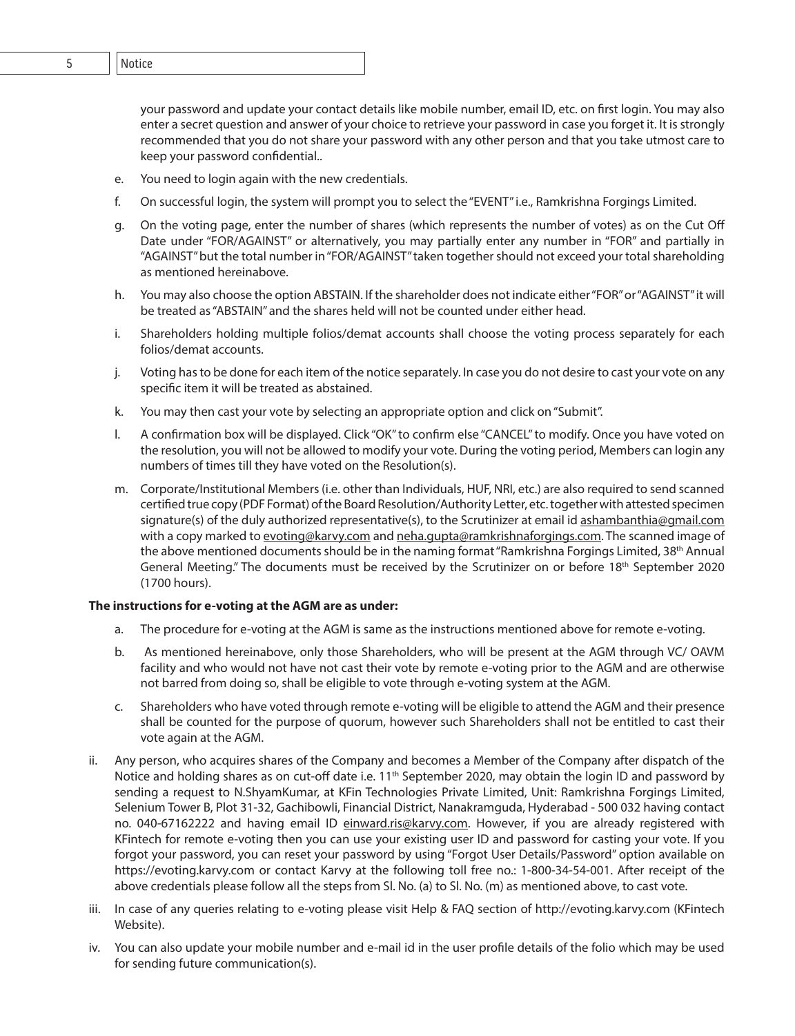4 **Ramkrishna Forgings Limited** 5 Notice

your password and update your contact details like mobile number, email ID, etc. on first login. You may also enter a secret question and answer of your choice to retrieve your password in case you forget it. It is strongly recommended that you do not share your password with any other person and that you take utmost care to keep your password confidential..

- e. You need to login again with the new credentials.
- f. On successful login, the system will prompt you to select the "EVENT" i.e., Ramkrishna Forgings Limited.
- g. On the voting page, enter the number of shares (which represents the number of votes) as on the Cut Off Date under "FOR/AGAINST" or alternatively, you may partially enter any number in "FOR" and partially in "AGAINST" but the total number in "FOR/AGAINST" taken together should not exceed your total shareholding as mentioned hereinabove.
- h. You may also choose the option ABSTAIN. If the shareholder does not indicate either "FOR" or "AGAINST" it will be treated as "ABSTAIN" and the shares held will not be counted under either head.
- i. Shareholders holding multiple folios/demat accounts shall choose the voting process separately for each folios/demat accounts.
- j. Voting has to be done for each item of the notice separately. In case you do not desire to cast your vote on any specific item it will be treated as abstained.
- k. You may then cast your vote by selecting an appropriate option and click on "Submit".
- l. A confirmation box will be displayed. Click "OK" to confirm else "CANCEL" to modify. Once you have voted on the resolution, you will not be allowed to modify your vote. During the voting period, Members can login any numbers of times till they have voted on the Resolution(s).
- m. Corporate/Institutional Members (i.e. other than Individuals, HUF, NRI, etc.) are also required to send scanned certified true copy (PDF Format) of the Board Resolution/Authority Letter, etc. together with attested specimen signature(s) of the duly authorized representative(s), to the Scrutinizer at email id ashambanthia@qmail.com with a copy marked to evoting@karvy.com and neha.gupta@ramkrishnaforgings.com. The scanned image of the above mentioned documents should be in the naming format "Ramkrishna Forgings Limited, 38<sup>th</sup> Annual General Meeting." The documents must be received by the Scrutinizer on or before 18<sup>th</sup> September 2020 (1700 hours).

## **The instructions for e-voting at the AGM are as under:**

- a. The procedure for e-voting at the AGM is same as the instructions mentioned above for remote e-voting.
- b. As mentioned hereinabove, only those Shareholders, who will be present at the AGM through VC/ OAVM facility and who would not have not cast their vote by remote e-voting prior to the AGM and are otherwise not barred from doing so, shall be eligible to vote through e-voting system at the AGM.
- c. Shareholders who have voted through remote e-voting will be eligible to attend the AGM and their presence shall be counted for the purpose of quorum, however such Shareholders shall not be entitled to cast their vote again at the AGM.
- ii. Any person, who acquires shares of the Company and becomes a Member of the Company after dispatch of the Notice and holding shares as on cut-off date i.e.  $11<sup>th</sup>$  September 2020, may obtain the login ID and password by sending a request to N.ShyamKumar, at KFin Technologies Private Limited, Unit: Ramkrishna Forgings Limited, Selenium Tower B, Plot 31-32, Gachibowli, Financial District, Nanakramguda, Hyderabad - 500 032 having contact no. 040-67162222 and having email ID einward.ris@karvy.com. However, if you are already registered with KFintech for remote e-voting then you can use your existing user ID and password for casting your vote. If you forgot your password, you can reset your password by using "Forgot User Details/Password" option available on https://evoting.karvy.com or contact Karvy at the following toll free no.: 1-800-34-54-001. After receipt of the above credentials please follow all the steps from Sl. No. (a) to Sl. No. (m) as mentioned above, to cast vote.
- iii. In case of any queries relating to e-voting please visit Help & FAQ section of http://evoting.karvy.com (KFintech Website).
- iv. You can also update your mobile number and e-mail id in the user profile details of the folio which may be used for sending future communication(s).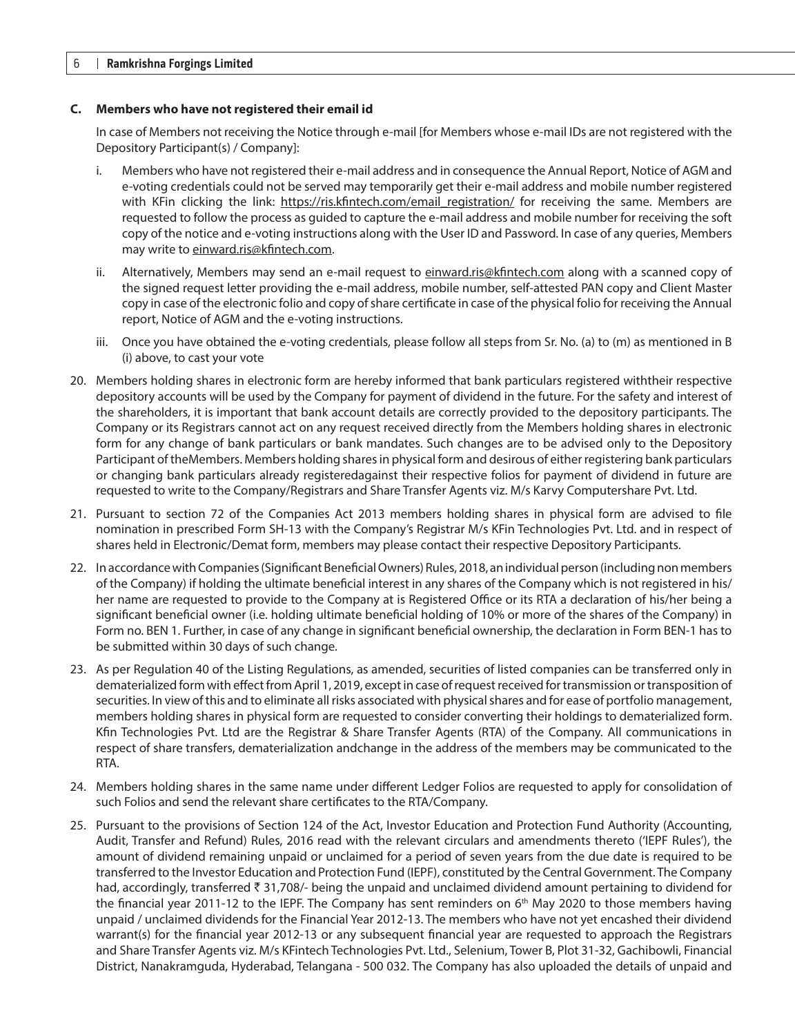#### **C. Members who have not registered their email id**

In case of Members not receiving the Notice through e-mail [for Members whose e-mail IDs are not registered with the Depository Participant(s) / Company]:

- i. Members who have not registered their e-mail address and in consequence the Annual Report, Notice of AGM and e-voting credentials could not be served may temporarily get their e-mail address and mobile number registered with KFin clicking the link: https://ris.kfintech.com/email registration/ for receiving the same. Members are requested to follow the process as guided to capture the e-mail address and mobile number for receiving the soft copy of the notice and e-voting instructions along with the User ID and Password. In case of any queries, Members may write to einward.ris@kfintech.com.
- ii. Alternatively, Members may send an e-mail request to einward.ris@kfintech.com along with a scanned copy of the signed request letter providing the e-mail address, mobile number, self-attested PAN copy and Client Master copy in case of the electronic folio and copy of share certificate in case of the physical folio for receiving the Annual report, Notice of AGM and the e-voting instructions.
- iii. Once you have obtained the e-voting credentials, please follow all steps from Sr. No. (a) to (m) as mentioned in B (i) above, to cast your vote
- 20. Members holding shares in electronic form are hereby informed that bank particulars registered withtheir respective depository accounts will be used by the Company for payment of dividend in the future. For the safety and interest of the shareholders, it is important that bank account details are correctly provided to the depository participants. The Company or its Registrars cannot act on any request received directly from the Members holding shares in electronic form for any change of bank particulars or bank mandates. Such changes are to be advised only to the Depository Participant of theMembers. Members holding shares in physical form and desirous of either registering bank particulars or changing bank particulars already registeredagainst their respective folios for payment of dividend in future are requested to write to the Company/Registrars and Share Transfer Agents viz. M/s Karvy Computershare Pvt. Ltd.
- 21. Pursuant to section 72 of the Companies Act 2013 members holding shares in physical form are advised to file nomination in prescribed Form SH-13 with the Company's Registrar M/s KFin Technologies Pvt. Ltd. and in respect of shares held in Electronic/Demat form, members may please contact their respective Depository Participants.
- 22. In accordance with Companies (Significant Beneficial Owners) Rules, 2018, an individual person (including non members of the Company) if holding the ultimate beneficial interest in any shares of the Company which is not registered in his/ her name are requested to provide to the Company at is Registered Office or its RTA a declaration of his/her being a significant beneficial owner (i.e. holding ultimate beneficial holding of 10% or more of the shares of the Company) in Form no. BEN 1. Further, in case of any change in significant beneficial ownership, the declaration in Form BEN-1 has to be submitted within 30 days of such change.
- 23. As per Regulation 40 of the Listing Regulations, as amended, securities of listed companies can be transferred only in dematerialized form with effect from April 1, 2019, except in case of request received for transmission or transposition of securities. In view of this and to eliminate all risks associated with physical shares and for ease of portfolio management, members holding shares in physical form are requested to consider converting their holdings to dematerialized form. Kfin Technologies Pvt. Ltd are the Registrar & Share Transfer Agents (RTA) of the Company. All communications in respect of share transfers, dematerialization andchange in the address of the members may be communicated to the RTA.
- 24. Members holding shares in the same name under different Ledger Folios are requested to apply for consolidation of such Folios and send the relevant share certificates to the RTA/Company.
- 25. Pursuant to the provisions of Section 124 of the Act, Investor Education and Protection Fund Authority (Accounting, Audit, Transfer and Refund) Rules, 2016 read with the relevant circulars and amendments thereto ('IEPF Rules'), the amount of dividend remaining unpaid or unclaimed for a period of seven years from the due date is required to be transferred to the Investor Education and Protection Fund (IEPF), constituted by the Central Government. The Company had, accordingly, transferred  $\bar{z}$  31,708/- being the unpaid and unclaimed dividend amount pertaining to dividend for the financial year 2011-12 to the IEPF. The Company has sent reminders on  $6<sup>th</sup>$  May 2020 to those members having unpaid / unclaimed dividends for the Financial Year 2012-13. The members who have not yet encashed their dividend warrant(s) for the financial year 2012-13 or any subsequent financial year are requested to approach the Registrars and Share Transfer Agents viz. M/s KFintech Technologies Pvt. Ltd., Selenium, Tower B, Plot 31-32, Gachibowli, Financial District, Nanakramguda, Hyderabad, Telangana - 500 032. The Company has also uploaded the details of unpaid and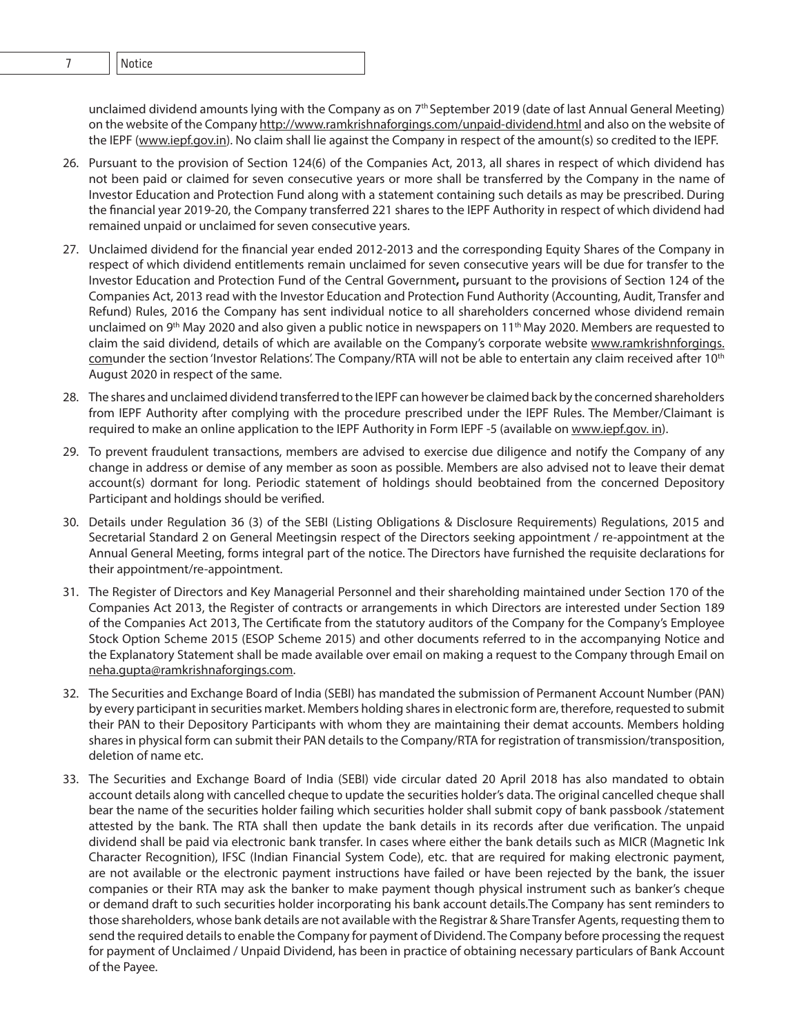### unclaimed dividend amounts lying with the Company as on 7<sup>th</sup> September 2019 (date of last Annual General Meeting) on the website of the Company http://www.ramkrishnaforgings.com/unpaid-dividend.html and also on the website of the IEPF (www.iepf.gov.in). No claim shall lie against the Company in respect of the amount(s) so credited to the IEPF.

- 26. Pursuant to the provision of Section 124(6) of the Companies Act, 2013, all shares in respect of which dividend has not been paid or claimed for seven consecutive years or more shall be transferred by the Company in the name of Investor Education and Protection Fund along with a statement containing such details as may be prescribed. During the financial year 2019-20, the Company transferred 221 shares to the IEPF Authority in respect of which dividend had remained unpaid or unclaimed for seven consecutive years.
- 27. Unclaimed dividend for the financial year ended 2012-2013 and the corresponding Equity Shares of the Company in respect of which dividend entitlements remain unclaimed for seven consecutive years will be due for transfer to the Investor Education and Protection Fund of the Central Government**,** pursuant to the provisions of Section 124 of the Companies Act, 2013 read with the Investor Education and Protection Fund Authority (Accounting, Audit, Transfer and Refund) Rules, 2016 the Company has sent individual notice to all shareholders concerned whose dividend remain unclaimed on 9<sup>th</sup> May 2020 and also given a public notice in newspapers on 11<sup>th</sup> May 2020. Members are requested to claim the said dividend, details of which are available on the Company's corporate website www.ramkrishnforgings. comunder the section 'Investor Relations'. The Company/RTA will not be able to entertain any claim received after 10<sup>th</sup> August 2020 in respect of the same.
- 28. The shares and unclaimed dividend transferred to the IEPF can however be claimed back by the concerned shareholders from IEPF Authority after complying with the procedure prescribed under the IEPF Rules. The Member/Claimant is required to make an online application to the IEPF Authority in Form IEPF -5 (available on www.iepf.gov. in).
- 29. To prevent fraudulent transactions, members are advised to exercise due diligence and notify the Company of any change in address or demise of any member as soon as possible. Members are also advised not to leave their demat account(s) dormant for long. Periodic statement of holdings should beobtained from the concerned Depository Participant and holdings should be verified.
- 30. Details under Regulation 36 (3) of the SEBI (Listing Obligations & Disclosure Requirements) Regulations, 2015 and Secretarial Standard 2 on General Meetingsin respect of the Directors seeking appointment / re-appointment at the Annual General Meeting, forms integral part of the notice. The Directors have furnished the requisite declarations for their appointment/re-appointment.
- 31. The Register of Directors and Key Managerial Personnel and their shareholding maintained under Section 170 of the Companies Act 2013, the Register of contracts or arrangements in which Directors are interested under Section 189 of the Companies Act 2013, The Certificate from the statutory auditors of the Company for the Company's Employee Stock Option Scheme 2015 (ESOP Scheme 2015) and other documents referred to in the accompanying Notice and the Explanatory Statement shall be made available over email on making a request to the Company through Email on neha.gupta@ramkrishnaforgings.com.
- 32. The Securities and Exchange Board of India (SEBI) has mandated the submission of Permanent Account Number (PAN) by every participant in securities market. Members holding shares in electronic form are, therefore, requested to submit their PAN to their Depository Participants with whom they are maintaining their demat accounts. Members holding shares in physical form can submit their PAN details to the Company/RTA for registration of transmission/transposition, deletion of name etc.
- 33. The Securities and Exchange Board of India (SEBI) vide circular dated 20 April 2018 has also mandated to obtain account details along with cancelled cheque to update the securities holder's data. The original cancelled cheque shall bear the name of the securities holder failing which securities holder shall submit copy of bank passbook /statement attested by the bank. The RTA shall then update the bank details in its records after due verification. The unpaid dividend shall be paid via electronic bank transfer. In cases where either the bank details such as MICR (Magnetic Ink Character Recognition), IFSC (Indian Financial System Code), etc. that are required for making electronic payment, are not available or the electronic payment instructions have failed or have been rejected by the bank, the issuer companies or their RTA may ask the banker to make payment though physical instrument such as banker's cheque or demand draft to such securities holder incorporating his bank account details.The Company has sent reminders to those shareholders, whose bank details are not available with the Registrar & Share Transfer Agents, requesting them to send the required details to enable the Company for payment of Dividend. The Company before processing the request for payment of Unclaimed / Unpaid Dividend, has been in practice of obtaining necessary particulars of Bank Account of the Payee.

6 **Ramkrishna Forgings Limited** 7 Notice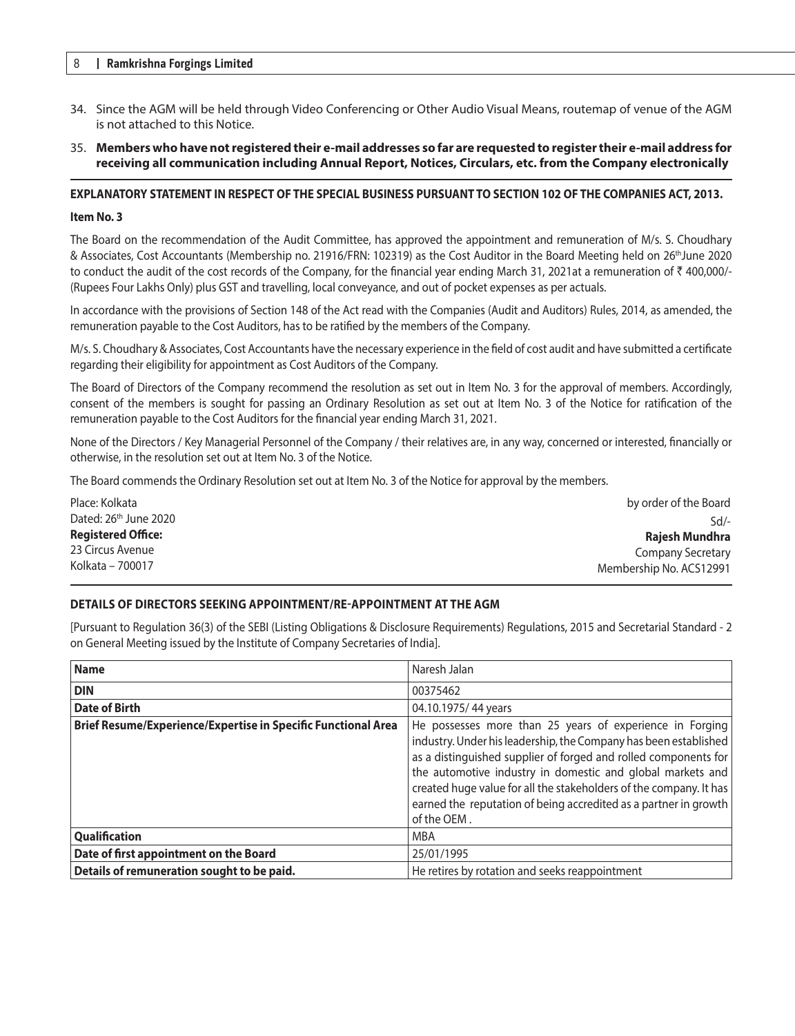#### 8 **Ramkrishna Forgings Limited**

- 34. Since the AGM will be held through Video Conferencing or Other Audio Visual Means, routemap of venue of the AGM is not attached to this Notice.
- 35. **Members who have not registered their e-mail addresses so far are requested to register their e-mail address for receiving all communication including Annual Report, Notices, Circulars, etc. from the Company electronically**

#### **EXPLANATORY STATEMENT IN RESPECT OF THE SPECIAL BUSINESS PURSUANT TO SECTION 102 OF THE COMPANIES ACT, 2013.**

#### **Item No. 3**

The Board on the recommendation of the Audit Committee, has approved the appointment and remuneration of M/s. S. Choudhary & Associates, Cost Accountants (Membership no. 21916/FRN: 102319) as the Cost Auditor in the Board Meeting held on 26thJune 2020 to conduct the audit of the cost records of the Company, for the financial year ending March 31, 2021at a remuneration of  $\bar{\tau}$  400,000/-(Rupees Four Lakhs Only) plus GST and travelling, local conveyance, and out of pocket expenses as per actuals.

In accordance with the provisions of Section 148 of the Act read with the Companies (Audit and Auditors) Rules, 2014, as amended, the remuneration payable to the Cost Auditors, has to be ratified by the members of the Company.

M/s. S. Choudhary & Associates, Cost Accountants have the necessary experience in the field of cost audit and have submitted a certificate regarding their eligibility for appointment as Cost Auditors of the Company.

The Board of Directors of the Company recommend the resolution as set out in Item No. 3 for the approval of members. Accordingly, consent of the members is sought for passing an Ordinary Resolution as set out at Item No. 3 of the Notice for ratification of the remuneration payable to the Cost Auditors for the financial year ending March 31, 2021.

None of the Directors / Key Managerial Personnel of the Company / their relatives are, in any way, concerned or interested, financially or otherwise, in the resolution set out at Item No. 3 of the Notice.

The Board commends the Ordinary Resolution set out at Item No. 3 of the Notice for approval by the members.

Place: Kolkata Dated: 26<sup>th</sup> June 2020 **Registered Office:** 23 Circus Avenue Kolkata – 700017 by order of the Board Sd/- **Rajesh Mundhra** Company Secretary Membership No. ACS12991

#### **Details of Directors seeking appointment/re-appointment at the AGM**

[Pursuant to Regulation 36(3) of the SEBI (Listing Obligations & Disclosure Requirements) Regulations, 2015 and Secretarial Standard - 2 on General Meeting issued by the Institute of Company Secretaries of India].

| <b>Name</b>                                                   | Naresh Jalan                                                                                                                                                                                                                                                                                                                                                                                                           |
|---------------------------------------------------------------|------------------------------------------------------------------------------------------------------------------------------------------------------------------------------------------------------------------------------------------------------------------------------------------------------------------------------------------------------------------------------------------------------------------------|
| <b>DIN</b>                                                    | 00375462                                                                                                                                                                                                                                                                                                                                                                                                               |
| <b>Date of Birth</b>                                          | 04.10.1975/44 years                                                                                                                                                                                                                                                                                                                                                                                                    |
| Brief Resume/Experience/Expertise in Specific Functional Area | He possesses more than 25 years of experience in Forging<br>industry. Under his leadership, the Company has been established<br>as a distinguished supplier of forged and rolled components for<br>the automotive industry in domestic and global markets and<br>created huge value for all the stakeholders of the company. It has<br>earned the reputation of being accredited as a partner in growth<br>of the OEM. |
| Qualification                                                 | <b>MBA</b>                                                                                                                                                                                                                                                                                                                                                                                                             |
| Date of first appointment on the Board                        | 25/01/1995                                                                                                                                                                                                                                                                                                                                                                                                             |
| Details of remuneration sought to be paid.                    | He retires by rotation and seeks reappointment                                                                                                                                                                                                                                                                                                                                                                         |